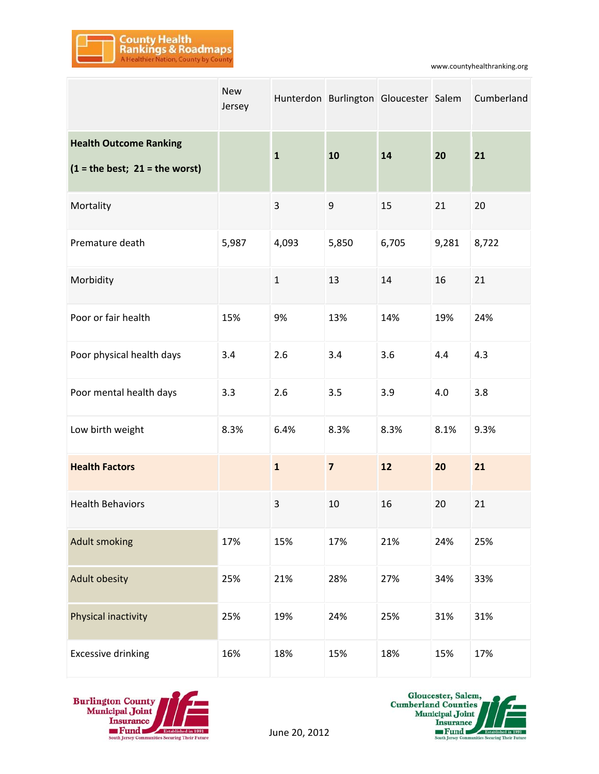

www.countyhealthranking.org

|                                                                   | <b>New</b><br>Jersey |              |                         | Hunterdon Burlington Gloucester Salem |       | Cumberland |
|-------------------------------------------------------------------|----------------------|--------------|-------------------------|---------------------------------------|-------|------------|
| <b>Health Outcome Ranking</b><br>$(1 = the best; 21 = the worst)$ |                      | $\mathbf{1}$ | 10                      | 14                                    | 20    | 21         |
| Mortality                                                         |                      | 3            | 9                       | 15                                    | 21    | 20         |
| Premature death                                                   | 5,987                | 4,093        | 5,850                   | 6,705                                 | 9,281 | 8,722      |
| Morbidity                                                         |                      | $\mathbf{1}$ | 13                      | 14                                    | 16    | 21         |
| Poor or fair health                                               | 15%                  | 9%           | 13%                     | 14%                                   | 19%   | 24%        |
| Poor physical health days                                         | 3.4                  | 2.6          | 3.4                     | 3.6                                   | 4.4   | 4.3        |
| Poor mental health days                                           | 3.3                  | 2.6          | 3.5                     | 3.9                                   | 4.0   | 3.8        |
| Low birth weight                                                  | 8.3%                 | 6.4%         | 8.3%                    | 8.3%                                  | 8.1%  | 9.3%       |
| <b>Health Factors</b>                                             |                      | $\mathbf{1}$ | $\overline{\mathbf{z}}$ | 12                                    | 20    | 21         |
| <b>Health Behaviors</b>                                           |                      | 3            | 10                      | 16                                    | 20    | 21         |
| <b>Adult smoking</b>                                              | 17%                  | 15%          | 17%                     | 21%                                   | 24%   | 25%        |
| <b>Adult obesity</b>                                              | 25%                  | 21%          | 28%                     | 27%                                   | 34%   | 33%        |
| Physical inactivity                                               | 25%                  | 19%          | 24%                     | 25%                                   | 31%   | 31%        |
| <b>Excessive drinking</b>                                         | 16%                  | 18%          | 15%                     | 18%                                   | 15%   | 17%        |



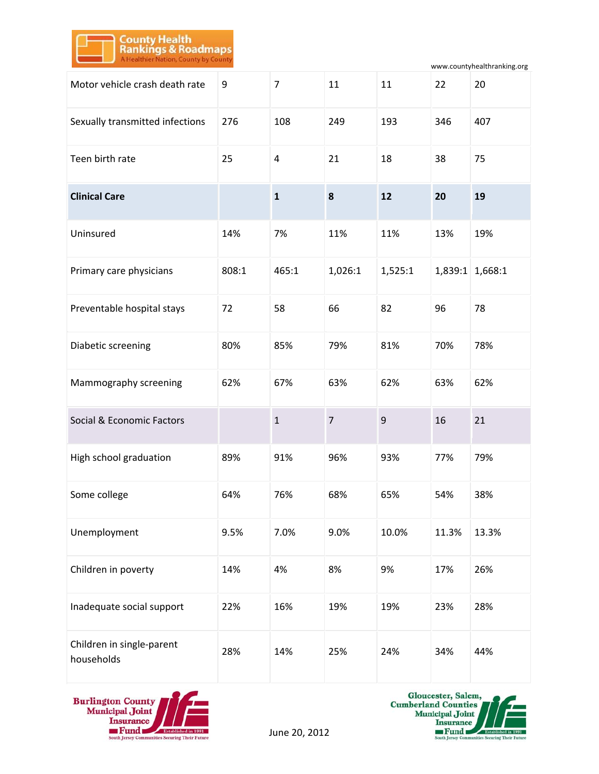

www.countyhealthranking.org

| Motor vehicle crash death rate          | 9     | $\overline{7}$ | 11             | 11      | 22    | 20              |
|-----------------------------------------|-------|----------------|----------------|---------|-------|-----------------|
| Sexually transmitted infections         | 276   | 108            | 249            | 193     | 346   | 407             |
| Teen birth rate                         | 25    | $\overline{4}$ | 21             | 18      | 38    | 75              |
| <b>Clinical Care</b>                    |       | $\mathbf{1}$   | 8              | 12      | 20    | 19              |
| Uninsured                               | 14%   | 7%             | 11%            | 11%     | 13%   | 19%             |
| Primary care physicians                 | 808:1 | 465:1          | 1,026:1        | 1,525:1 |       | 1,839:1 1,668:1 |
| Preventable hospital stays              | 72    | 58             | 66             | 82      | 96    | 78              |
| Diabetic screening                      | 80%   | 85%            | 79%            | 81%     | 70%   | 78%             |
| Mammography screening                   | 62%   | 67%            | 63%            | 62%     | 63%   | 62%             |
| Social & Economic Factors               |       | $\mathbf{1}$   | $\overline{7}$ | 9       | 16    | 21              |
| High school graduation                  | 89%   | 91%            | 96%            | 93%     | 77%   | 79%             |
| Some college                            | 64%   | 76%            | 68%            | 65%     | 54%   | 38%             |
| Unemployment                            | 9.5%  | 7.0%           | 9.0%           | 10.0%   | 11.3% | 13.3%           |
| Children in poverty                     | 14%   | 4%             | 8%             | 9%      | 17%   | 26%             |
| Inadequate social support               | 22%   | 16%            | 19%            | 19%     | 23%   | 28%             |
| Children in single-parent<br>households | 28%   | 14%            | 25%            | 24%     | 34%   | 44%             |